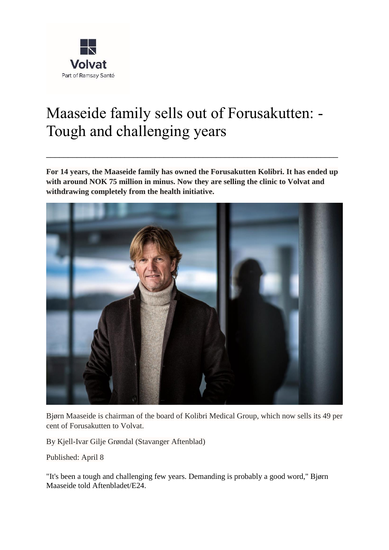

# Maaseide family sells out of Forusakutten: - Tough and challenging years

**For 14 years, the Maaseide family has owned the Forusakutten Kolibri. It has ended up with around NOK 75 million in minus. Now they are selling the clinic to Volvat and withdrawing completely from the health initiative.**

\_\_\_\_\_\_\_\_\_\_\_\_\_\_\_\_\_\_\_\_\_\_\_\_\_\_\_\_\_\_\_\_\_\_\_\_\_\_\_\_\_\_\_\_\_\_\_\_\_\_\_\_\_\_\_\_\_\_\_\_\_\_\_\_\_\_\_



Bjørn Maaseide is chairman of the board of Kolibri Medical Group, which now sells its 49 per cent of Forusakutten to Volvat.

By Kjell-Ivar Gilje Grøndal (Stavanger Aftenblad)

Published: April 8

"It's been a tough and challenging few years. Demanding is probably a good word," Bjørn Maaseide told Aftenbladet/E24.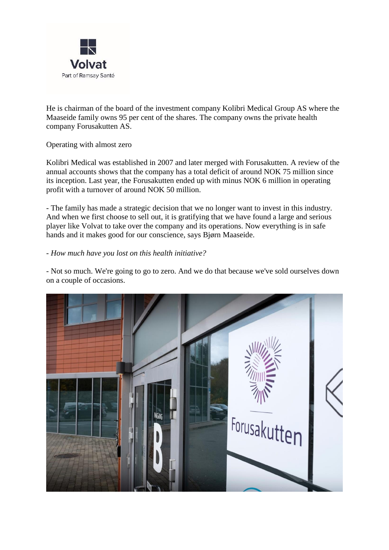

He is chairman of the board of the investment company Kolibri Medical Group AS where the Maaseide family owns 95 per cent of the shares. The company owns the private health company Forusakutten AS.

#### Operating with almost zero

Kolibri Medical was established in 2007 and later merged with Forusakutten. A review of the annual accounts shows that the company has a total deficit of around NOK 75 million since its inception. Last year, the Forusakutten ended up with minus NOK 6 million in operating profit with a turnover of around NOK 50 million.

- The family has made a strategic decision that we no longer want to invest in this industry. And when we first choose to sell out, it is gratifying that we have found a large and serious player like Volvat to take over the company and its operations. Now everything is in safe hands and it makes good for our conscience, says Bjørn Maaseide.

#### *- How much have you lost on this health initiative?*

- Not so much. We're going to go to zero. And we do that because we've sold ourselves down on a couple of occasions.

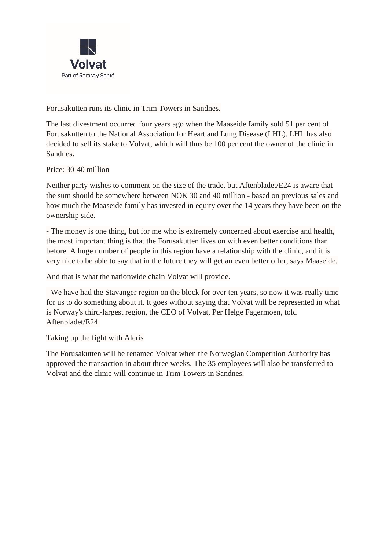

Forusakutten runs its clinic in Trim Towers in Sandnes.

The last divestment occurred four years ago when the Maaseide family sold 51 per cent of Forusakutten to the National Association for Heart and Lung Disease (LHL). LHL has also decided to sell its stake to Volvat, which will thus be 100 per cent the owner of the clinic in Sandnes.

Price: 30-40 million

Neither party wishes to comment on the size of the trade, but Aftenbladet/E24 is aware that the sum should be somewhere between NOK 30 and 40 million - based on previous sales and how much the Maaseide family has invested in equity over the 14 years they have been on the ownership side.

- The money is one thing, but for me who is extremely concerned about exercise and health, the most important thing is that the Forusakutten lives on with even better conditions than before. A huge number of people in this region have a relationship with the clinic, and it is very nice to be able to say that in the future they will get an even better offer, says Maaseide.

And that is what the nationwide chain Volvat will provide.

- We have had the Stavanger region on the block for over ten years, so now it was really time for us to do something about it. It goes without saying that Volvat will be represented in what is Norway's third-largest region, the CEO of Volvat, Per Helge Fagermoen, told Aftenbladet/E24.

Taking up the fight with Aleris

The Forusakutten will be renamed Volvat when the Norwegian Competition Authority has approved the transaction in about three weeks. The 35 employees will also be transferred to Volvat and the clinic will continue in Trim Towers in Sandnes.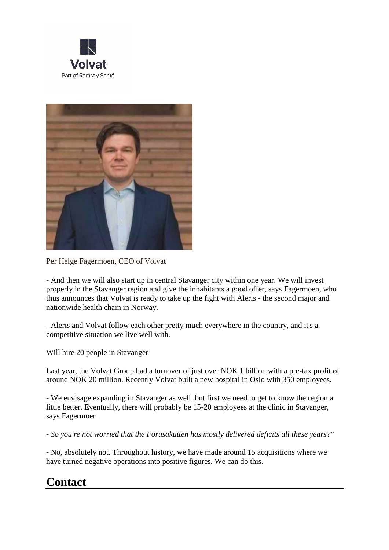



Per Helge Fagermoen, CEO of Volvat

- And then we will also start up in central Stavanger city within one year. We will invest properly in the Stavanger region and give the inhabitants a good offer, says Fagermoen, who thus announces that Volvat is ready to take up the fight with Aleris - the second major and nationwide health chain in Norway.

- Aleris and Volvat follow each other pretty much everywhere in the country, and it's a competitive situation we live well with.

Will hire 20 people in Stavanger

Last year, the Volvat Group had a turnover of just over NOK 1 billion with a pre-tax profit of around NOK 20 million. Recently Volvat built a new hospital in Oslo with 350 employees.

- We envisage expanding in Stavanger as well, but first we need to get to know the region a little better. Eventually, there will probably be 15-20 employees at the clinic in Stavanger, says Fagermoen.

*- So you're not worried that the Forusakutten has mostly delivered deficits all these years?"*

- No, absolutely not. Throughout history, we have made around 15 acquisitions where we have turned negative operations into positive figures. We can do this.

## **Contact**